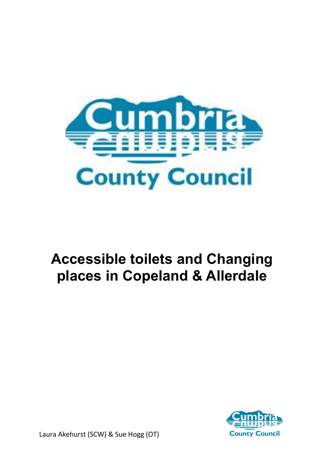

### **Accessible toilets and Changing places in Copeland & Allerdale**

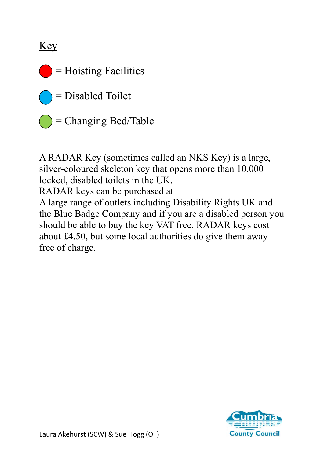Key

 $=$  Hoisting Facilities

= Disabled Toilet

= Changing Bed/Table

A RADAR Key (sometimes called an NKS Key) is a large, silver-coloured skeleton key that opens more than 10,000 locked, disabled toilets in the UK.

RADAR keys can be purchased at

A large range of outlets including Disability Rights UK and the Blue Badge Company and if you are a disabled person you should be able to buy the key VAT free. RADAR keys cost about £4.50, but some local authorities do give them away free of charge.

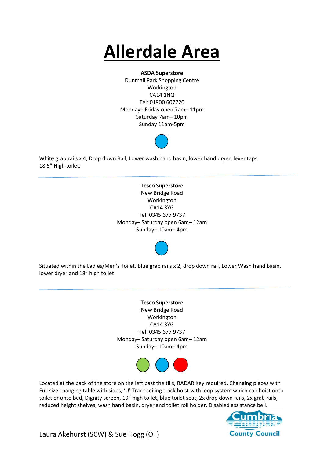## **Allerdale Area**

#### **ASDA Superstore**

Dunmail Park Shopping Centre Workington CA14 1NQ Tel: 01900 607720 Monday– Friday open 7am– 11pm Saturday 7am– 10pm Sunday 11am-5pm



White grab rails x 4, Drop down Rail, Lower wash hand basin, lower hand dryer, lever taps 18.5" High toilet.

> **Tesco Superstore** New Bridge Road Workington CA14 3YG Tel: 0345 677 9737 Monday– Saturday open 6am– 12am Sunday– 10am– 4pm



Situated within the Ladies/Men's Toilet. Blue grab rails x 2, drop down rail, Lower Wash hand basin, lower dryer and 18" high toilet

> **Tesco Superstore** New Bridge Road Workington CA14 3YG Tel: 0345 677 9737 Monday– Saturday open 6am– 12am Sunday– 10am– 4pm



Located at the back of the store on the left past the tills, RADAR Key required. Changing places with Full size changing table with sides, 'U' Track ceiling track hoist with loop system which can hoist onto toilet or onto bed, Dignity screen, 19" high toilet, blue toilet seat, 2x drop down rails, 2x grab rails, reduced height shelves, wash hand basin, dryer and toilet roll holder. Disabled assistance bell.

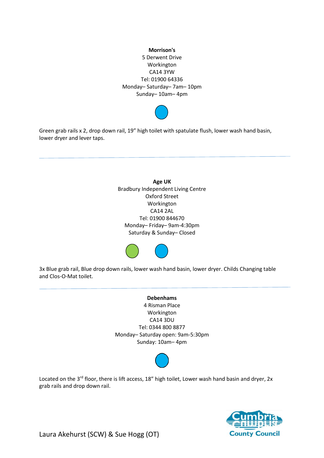



Green grab rails x 2, drop down rail, 19" high toilet with spatulate flush, lower wash hand basin, lower dryer and lever taps.

> **Age UK** Bradbury Independent Living Centre Oxford Street Workington CA14 2AL Tel: 01900 844670 Monday– Friday– 9am-4:30pm Saturday & Sunday– Closed



3x Blue grab rail, Blue drop down rails, lower wash hand basin, lower dryer. Childs Changing table and Clos-O-Mat toilet.

> **Debenhams** 4 Risman Place Workington CA14 3DU Tel: 0344 800 8877 Monday– Saturday open: 9am-5:30pm Sunday: 10am– 4pm



Located on the 3<sup>rd</sup> floor, there is lift access, 18" high toilet, Lower wash hand basin and dryer, 2x grab rails and drop down rail.

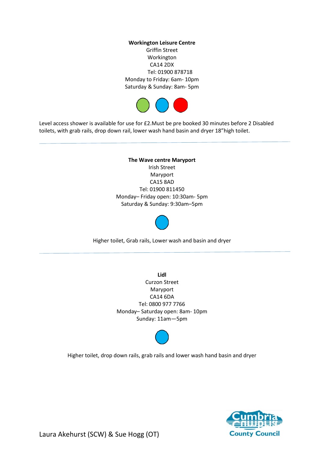**Workington Leisure Centre** Griffin Street Workington CA14 2DX Tel: 01900 878718 Monday to Friday: 6am- 10pm Saturday & Sunday: 8am- 5pm



Level access shower is available for use for £2.Must be pre booked 30 minutes before 2 Disabled toilets, with grab rails, drop down rail, lower wash hand basin and dryer 18"high toilet.

> **The Wave centre Maryport** Irish Street Maryport CA15 8AD Tel: 01900 811450 Monday– Friday open: 10:30am- 5pm Saturday & Sunday: 9:30am–5pm



Higher toilet, Grab rails, Lower wash and basin and dryer

**Lidl** Curzon Street Maryport CA14 6DA Tel: 0800 977 7766 Monday– Saturday open: 8am- 10pm Sunday: 11am—5pm

Higher toilet, drop down rails, grab rails and lower wash hand basin and dryer

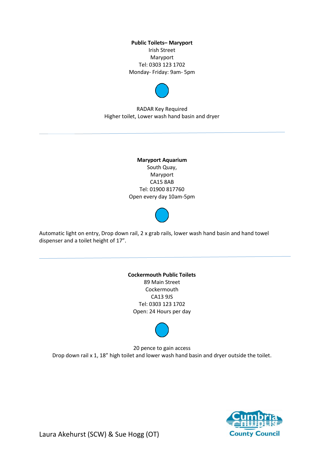**Public Toilets– Maryport** Irish Street Maryport Tel: 0303 123 1702 Monday- Friday: 9am- 5pm



RADAR Key Required Higher toilet, Lower wash hand basin and dryer

> **Maryport Aquarium** South Quay, Maryport CA15 8AB Tel: 01900 817760 Open every day 10am-5pm



Automatic light on entry, Drop down rail, 2 x grab rails, lower wash hand basin and hand towel dispenser and a toilet height of 17".

> **Cockermouth Public Toilets** 89 Main Street **Cockermouth** CA13 9JS Tel: 0303 123 1702 Open: 24 Hours per day

20 pence to gain access Drop down rail x 1, 18" high toilet and lower wash hand basin and dryer outside the toilet.

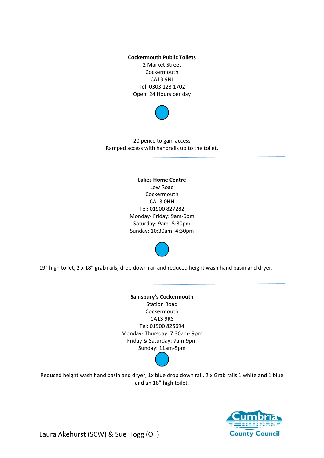**Cockermouth Public Toilets** 2 Market Street Cockermouth CA13 9NJ Tel: 0303 123 1702 Open: 24 Hours per day



20 pence to gain access Ramped access with handrails up to the toilet,

> **Lakes Home Centre** Low Road **Cockermouth** CA13 0HH Tel: 01900 827282 Monday- Friday: 9am-6pm Saturday: 9am- 5:30pm Sunday: 10:30am- 4:30pm

19" high toilet, 2 x 18" grab rails, drop down rail and reduced height wash hand basin and dryer.

**Sainsbury's Cockermouth** Station Road **Cockermouth** CA13 9RS Tel: 01900 825694 Monday- Thursday: 7:30am- 9pm Friday & Saturday: 7am-9pm Sunday: 11am-5pm

Reduced height wash hand basin and dryer, 1x blue drop down rail, 2 x Grab rails 1 white and 1 blue and an 18" high toilet.

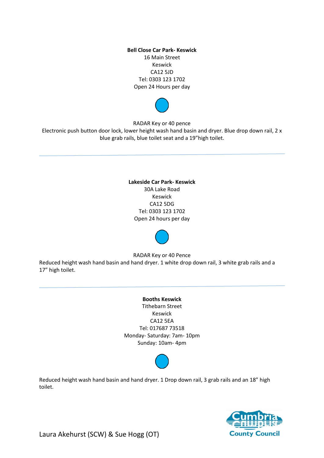**Bell Close Car Park- Keswick** 16 Main Street Keswick CA12 5JD Tel: 0303 123 1702 Open 24 Hours per day



RADAR Key or 40 pence

Electronic push button door lock, lower height wash hand basin and dryer. Blue drop down rail, 2 x blue grab rails, blue toilet seat and a 19"high toilet.

> **Lakeside Car Park- Keswick**  30A Lake Road Keswick CA12 5DG Tel: 0303 123 1702 Open 24 hours per day



RADAR Key or 40 Pence

Reduced height wash hand basin and hand dryer. 1 white drop down rail, 3 white grab rails and a 17" high toilet.

### **Booths Keswick**

Tithebarn Street Keswick CA12 5EA Tel: 017687 73518 Monday- Saturday: 7am- 10pm Sunday: 10am- 4pm



Reduced height wash hand basin and hand dryer. 1 Drop down rail, 3 grab rails and an 18" high toilet.

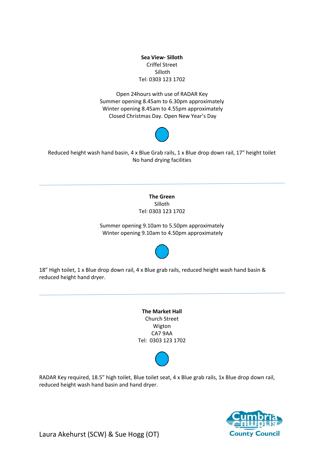**Sea View- Silloth** Criffel Street Silloth Tel: 0303 123 1702

Open 24hours with use of RADAR Key Summer opening 8.45am to 6.30pm approximately Winter opening 8.45am to 4.55pm approximately Closed Christmas Day. Open New Year's Day



Reduced height wash hand basin, 4 x Blue Grab rails, 1 x Blue drop down rail, 17" height toilet No hand drying facilities

> **The Green**  Silloth Tel: 0303 123 1702

Summer opening 9.10am to 5.50pm approximately Winter opening 9.10am to 4.50pm approximately



18" High toilet, 1 x Blue drop down rail, 4 x Blue grab rails, reduced height wash hand basin & reduced height hand dryer.

> **The Market Hall** Church Street Wigton CA7 9AA Tel: 0303 123 1702



RADAR Key required, 18.5" high toilet, Blue toilet seat, 4 x Blue grab rails, 1x Blue drop down rail, reduced height wash hand basin and hand dryer.

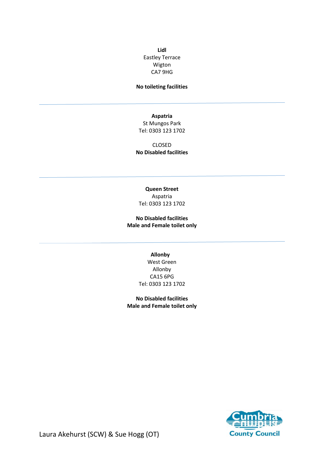**Lidl** Eastley Terrace Wigton CA7 9HG

#### **No toileting facilities**

**Aspatria** 

St Mungos Park Tel: 0303 123 1702

CLOSED **No Disabled facilities** 

**Queen Street** Aspatria Tel: 0303 123 1702

**No Disabled facilities Male and Female toilet only** 

> **Allonby** West Green Allonby CA15 6PG Tel: 0303 123 1702

**No Disabled facilities Male and Female toilet only** 

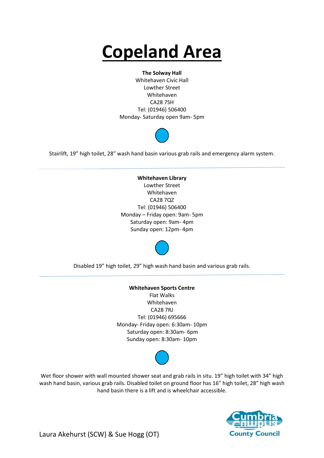# **Copeland Area**

#### **The Solway Hall**

Whitehaven Civic Hall Lowther Street Whitehaven CA28 7SH Tel: (01946) 506400 Monday- Saturday open 9am- 5pm



Stairlift, 19" high toilet, 28" wash hand basin various grab rails and emergency alarm system.

**Whitehaven Library** Lowther Street Whitehaven CA28 7QZ Tel: (01946) 506400 Monday – Friday open: 9am- 5pm Saturday open: 9am- 4pm Sunday open: 12pm- 4pm



Disabled 19" high toilet, 29" high wash hand basin and various grab rails.

**Whitehaven Sports Centre** Flat Walks Whitehaven CA28 7RJ Tel: (01946) 695666 Monday- Friday open: 6:30am- 10pm Saturday open: 8:30am- 6pm Sunday open: 8:30am- 10pm



Wet floor shower with wall mounted shower seat and grab rails in situ. 19" high toilet with 34" high wash hand basin, various grab rails. Disabled toilet on ground floor has 16" high toilet, 28" high wash hand basin there is a lift and is wheelchair accessible.

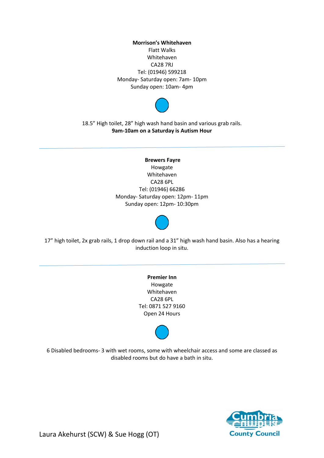**Morrison's Whitehaven** Flatt Walks Whitehaven CA28 7RJ Tel: (01946) 599218 Monday- Saturday open: 7am- 10pm Sunday open: 10am- 4pm



18.5" High toilet, 28" high wash hand basin and various grab rails. **9am-10am on a Saturday is Autism Hour** 

> **Brewers Fayre** Howgate Whitehaven CA28 6PL Tel: (01946) 66286 Monday- Saturday open: 12pm- 11pm Sunday open: 12pm- 10:30pm



17" high toilet, 2x grab rails, 1 drop down rail and a 31" high wash hand basin. Also has a hearing induction loop in situ.

> **Premier Inn** Howgate Whitehaven CA28 6PL Tel: 0871 527 9160 Open 24 Hours



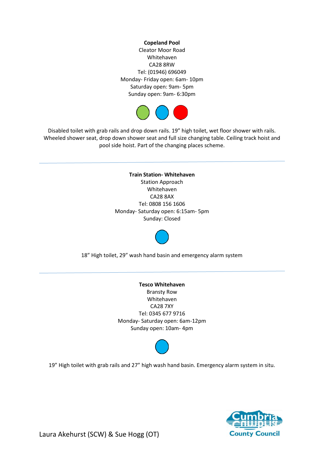**Copeland Pool**  Cleator Moor Road Whitehaven CA28 8RW Tel: (01946) 696049 Monday- Friday open: 6am- 10pm Saturday open: 9am- 5pm Sunday open: 9am- 6:30pm



Disabled toilet with grab rails and drop down rails. 19" high toilet, wet floor shower with rails. Wheeled shower seat, drop down shower seat and full size changing table. Ceiling track hoist and pool side hoist. Part of the changing places scheme.

> **Train Station- Whitehaven** Station Approach Whitehaven CA28 8AX Tel: 0808 156 1606 Monday- Saturday open: 6:15am- 5pm Sunday: Closed



18" High toilet, 29" wash hand basin and emergency alarm system

**Tesco Whitehaven**  Bransty Row Whitehaven CA28 7XY Tel: 0345 677 9716 Monday- Saturday open: 6am-12pm Sunday open: 10am- 4pm



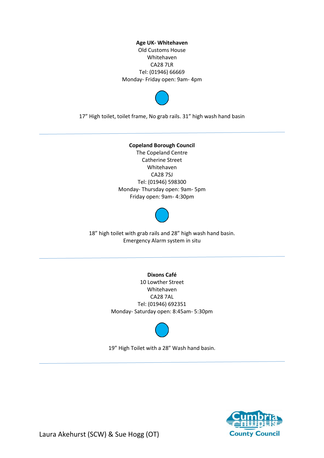**Age UK- Whitehaven**  Old Customs House Whitehaven CA28 7LR Tel: (01946) 66669 Monday- Friday open: 9am- 4pm



17" High toilet, toilet frame, No grab rails. 31" high wash hand basin

#### **Copeland Borough Council**

The Copeland Centre Catherine Street Whitehaven CA28 7SJ Tel: (01946) 598300 Monday- Thursday open: 9am- 5pm Friday open: 9am- 4:30pm



18" high toilet with grab rails and 28" high wash hand basin. Emergency Alarm system in situ

**Dixons Café**

10 Lowther Street Whitehaven CA28 7AL Tel: (01946) 692351 Monday- Saturday open: 8:45am- 5:30pm



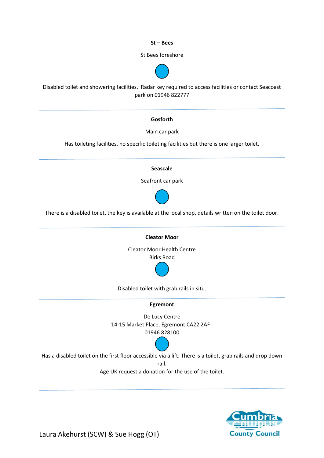**St – Bees**

St Bees foreshore



Disabled toilet and showering facilities. Radar key required to access facilities or contact Seacoast park on 01946 822777

#### **Gosforth**

Main car park

Has toileting facilities, no specific toileting facilities but there is one larger toilet.

#### **Seascale**

Seafront car park



There is a disabled toilet, the key is available at the local shop, details written on the toilet door.



Disabled toilet with grab rails in situ.

#### **Egremont**

De Lucy Centre 14-15 Market Place, Egremont CA22 2AF · 01946 828100



Has a disabled toilet on the first floor accessible via a lift. There is a toilet, grab rails and drop down rail.

Age UK request a donation for the use of the toilet.